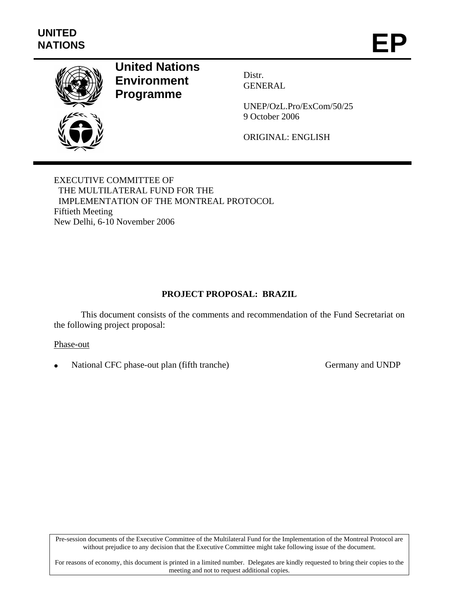

# **United Nations Environment Programme**

Distr. GENERAL

UNEP/OzL.Pro/ExCom/50/25 9 October 2006

ORIGINAL: ENGLISH

EXECUTIVE COMMITTEE OF THE MULTILATERAL FUND FOR THE IMPLEMENTATION OF THE MONTREAL PROTOCOL Fiftieth Meeting New Delhi, 6-10 November 2006

# **PROJECT PROPOSAL: BRAZIL**

This document consists of the comments and recommendation of the Fund Secretariat on the following project proposal:

Phase-out

National CFC phase-out plan (fifth tranche) Germany and UNDP

Pre-session documents of the Executive Committee of the Multilateral Fund for the Implementation of the Montreal Protocol are without prejudice to any decision that the Executive Committee might take following issue of the document.

For reasons of economy, this document is printed in a limited number. Delegates are kindly requested to bring their copies to the meeting and not to request additional copies.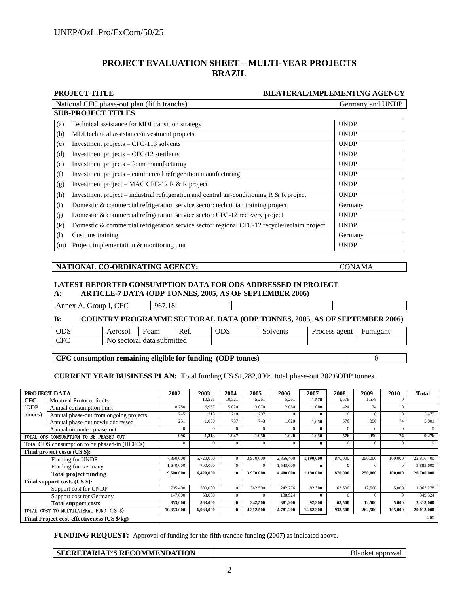## **PROJECT EVALUATION SHEET – MULTI-YEAR PROJECTS BRAZIL**

|     | <b>PROJECT TITLE</b>                                                                        | <b>BILATERAL/IMPLEMENTING AGENCY</b> |
|-----|---------------------------------------------------------------------------------------------|--------------------------------------|
|     | National CFC phase-out plan (fifth tranche)                                                 | Germany and UNDP                     |
|     | <b>SUB-PROJECT TITLES</b>                                                                   |                                      |
| (a) | Technical assistance for MDI transition strategy                                            | <b>UNDP</b>                          |
| (b) | MDI technical assistance/investment projects                                                | <b>UNDP</b>                          |
| (c) | Investment projects – CFC-113 solvents                                                      | <b>UNDP</b>                          |
| (d) | Investment projects – CFC-12 sterilants                                                     | <b>UNDP</b>                          |
| (e) | Investment projects - foam manufacturing                                                    | <b>UNDP</b>                          |
| (f) | Investment projects – commercial refrigeration manufacturing                                | <b>UNDP</b>                          |
| (g) | Investment project – MAC CFC-12 R & R project                                               | <b>UNDP</b>                          |
| (h) | Investment project – industrial refrigeration and central air-conditioning $R & R$ project  | <b>UNDP</b>                          |
| (i) | Domestic & commercial refrigeration service sector: technician training project             | Germany                              |
| (j) | Domestic & commercial refrigeration service sector: CFC-12 recovery project                 | <b>UNDP</b>                          |
| (k) | Domestic & commercial refrigeration service sector: regional CFC-12 recycle/reclaim project | <b>UNDP</b>                          |
| (1) | Customs training                                                                            | Germany                              |
| (m) | Project implementation & monitoring unit                                                    | <b>UNDP</b>                          |

#### NATIONAL CO-ORDINATING AGENCY: CONAMA

#### **LATEST REPORTED CONSUMPTION DATA FOR ODS ADDRESSED IN PROJECT A: ARTICLE-7 DATA (ODP TONNES, 2005**, **AS OF SEPTEMBER 2006)**

Annex A, Group I, CFC 967.18

#### **B: COUNTRY PROGRAMME SECTORAL DATA (ODP TONNES, 2005**, **AS OF SEPTEMBER 2006)**

| ODS               | Aerosol                                              | Foam | Ref. | ODS | Solvents | agent<br>Process | Fumigan |
|-------------------|------------------------------------------------------|------|------|-----|----------|------------------|---------|
| $\sim$<br>ີ<br>◡▴ | data<br>subm<br>mitted<br>sectora.<br>N <sub>0</sub> |      |      |     |          |                  |         |

**CFC consumption remaining eligible for funding (ODP tonnes)** 0

**CURRENT YEAR BUSINESS PLAN:** Total funding US \$1,282,000: total phase-out 302.6ODP tonnes.

|            | PROJECT DATA                                  | 2002       | 2003      | 2004         | 2005      | 2006      | 2007      | 2008     | 2009     | 2010     | <b>Total</b> |
|------------|-----------------------------------------------|------------|-----------|--------------|-----------|-----------|-----------|----------|----------|----------|--------------|
| <b>CFC</b> | <b>Montreal Protocol limits</b>               |            | 10,521    | 10.521       | 5,261     | 5,261     | 1,578     | 1,578    | 1.578    | $\Omega$ |              |
| (ODP)      | Annual consumption limit                      | 8,280      | 6,967     | 5.020        | 3.070     | 2,050     | 1,000     | 424      | 74       | $\Omega$ |              |
| tonnes)    | Annual phase-out from ongoing projects        | 745        | 313       | 1,210        | 1.207     | $\Omega$  |           | $\Omega$ | $\Omega$ | $\Omega$ | 3,475        |
|            | Annual phase-out newly addressed              | 251        | 1.000     | 737          | 743       | 1,020     | 1,050     | 576      | 350      | 74       | 5.801        |
|            | Annual unfunded phase-out                     | $\Omega$   | $\Omega$  | $\Omega$     | $\Omega$  | $\Omega$  |           | $\Omega$ | $\Omega$ | $\Omega$ | $\Omega$     |
|            | TOTAL ODS CONSUMPTION TO BE PHASED OUT        | 996        | 1,313     | 1,947        | 1,950     | 1,020     | 1,050     | 576      | 350      | 74       | 9,276        |
|            | Total ODS consumption to be phased-in (HCFCs) | $\Omega$   | $\Omega$  |              | $\Omega$  | $\Omega$  |           | $\Omega$ | $\Omega$ | $\Omega$ | $\Omega$     |
|            | Final project costs (US \$):                  |            |           |              |           |           |           |          |          |          |              |
|            | Funding for UNDP                              | 7,860,000  | 5,720,000 |              | 3,970,000 | 2,856,400 | 1,190,000 | 870,000  | 250,000  | 100,000  | 22,816,400   |
|            | <b>Funding for Germany</b>                    | ,640,000   | 700,000   | $\Omega$     | $\Omega$  | 1,543,600 |           | $\Omega$ | $\Omega$ | $\Omega$ | 3,883,600    |
|            | <b>Total project funding</b>                  | 9,500,000  | 6,420,000 | $\mathbf{0}$ | 3,970,000 | 4,400,000 | 1,190,000 | 870,000  | 250,000  | 100,000  | 26,700,000   |
|            | Final support costs (US \$):                  |            |           |              |           |           |           |          |          |          |              |
|            | Support cost for UNDP                         | 705,400    | 500,000   | $\Omega$     | 342,500   | 242,276   | 92,300    | 63,500   | 12,500   | 5,000    | 1,963,278    |
|            | Support cost for Germany                      | 147,600    | 63,000    | $\Omega$     | $\Omega$  | 138,924   |           | $\Omega$ | $\Omega$ | $\Omega$ | 349,524      |
|            | <b>Total support costs</b>                    | 853,000    | 563,000   | $\mathbf{0}$ | 342,500   | 381,200   | 92,300    | 63,500   | 12,500   | 5,000    | 2,313,000    |
|            | TOTAL COST TO MULTILATERAL FUND (US \$)       | 10,353,000 | 6,983,000 | $\mathbf{0}$ | 4,312,500 | 4,781,200 | 1,282,300 | 933,500  | 262,500  | 105,000  | 29,013,000   |
|            | Final Project cost-effectiveness (US \$/kg)   |            |           |              |           |           |           |          |          |          | 4.60         |

**FUNDING REQUEST:** Approval of funding for the fifth tranche funding (2007) as indicated above.

|  | <b>SECRETARIAT'S RECOMMENDATION</b> | Blanket approval |
|--|-------------------------------------|------------------|
|--|-------------------------------------|------------------|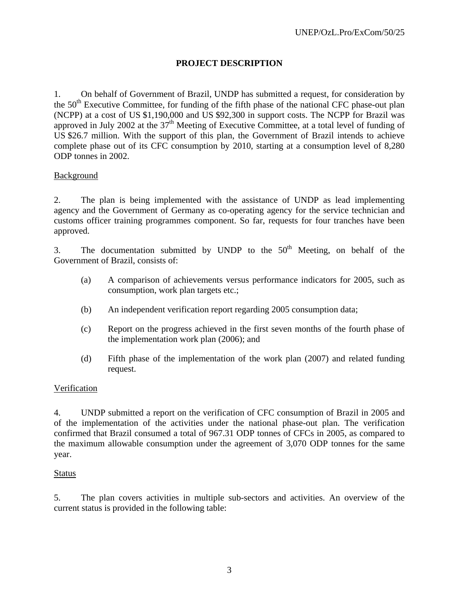# **PROJECT DESCRIPTION**

1. On behalf of Government of Brazil, UNDP has submitted a request, for consideration by the  $50<sup>th</sup>$  Executive Committee, for funding of the fifth phase of the national CFC phase-out plan (NCPP) at a cost of US \$1,190,000 and US \$92,300 in support costs. The NCPP for Brazil was approved in July 2002 at the  $37<sup>th</sup>$  Meeting of Executive Committee, at a total level of funding of US \$26.7 million. With the support of this plan, the Government of Brazil intends to achieve complete phase out of its CFC consumption by 2010, starting at a consumption level of 8,280 ODP tonnes in 2002.

## **Background**

2. The plan is being implemented with the assistance of UNDP as lead implementing agency and the Government of Germany as co-operating agency for the service technician and customs officer training programmes component. So far, requests for four tranches have been approved.

3. The documentation submitted by UNDP to the  $50<sup>th</sup>$  Meeting, on behalf of the Government of Brazil, consists of:

- (a) A comparison of achievements versus performance indicators for 2005, such as consumption, work plan targets etc.;
- (b) An independent verification report regarding 2005 consumption data;
- (c) Report on the progress achieved in the first seven months of the fourth phase of the implementation work plan (2006); and
- (d) Fifth phase of the implementation of the work plan (2007) and related funding request.

# Verification

4. UNDP submitted a report on the verification of CFC consumption of Brazil in 2005 and of the implementation of the activities under the national phase-out plan. The verification confirmed that Brazil consumed a total of 967.31 ODP tonnes of CFCs in 2005, as compared to the maximum allowable consumption under the agreement of 3,070 ODP tonnes for the same year.

### Status

5. The plan covers activities in multiple sub-sectors and activities. An overview of the current status is provided in the following table: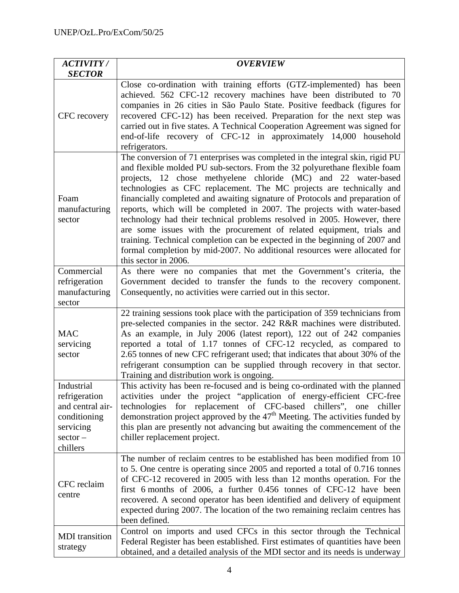| <b>ACTIVITY/</b><br><b>SECTOR</b>                                                                      | <b>OVERVIEW</b>                                                                                                                                                                                                                                                                                                                                                                                                                                                                                                                                                                                                                                                                                                                                                                                           |
|--------------------------------------------------------------------------------------------------------|-----------------------------------------------------------------------------------------------------------------------------------------------------------------------------------------------------------------------------------------------------------------------------------------------------------------------------------------------------------------------------------------------------------------------------------------------------------------------------------------------------------------------------------------------------------------------------------------------------------------------------------------------------------------------------------------------------------------------------------------------------------------------------------------------------------|
| CFC recovery                                                                                           | Close co-ordination with training efforts (GTZ-implemented) has been<br>achieved. 562 CFC-12 recovery machines have been distributed to 70<br>companies in 26 cities in São Paulo State. Positive feedback (figures for<br>recovered CFC-12) has been received. Preparation for the next step was<br>carried out in five states. A Technical Cooperation Agreement was signed for<br>end-of-life recovery of CFC-12 in approximately 14,000 household<br>refrigerators.                                                                                                                                                                                                                                                                                                                                   |
| Foam<br>manufacturing<br>sector                                                                        | The conversion of 71 enterprises was completed in the integral skin, rigid PU<br>and flexible molded PU sub-sectors. From the 32 polyurethane flexible foam<br>projects, 12 chose methyelene chloride (MC) and 22 water-based<br>technologies as CFC replacement. The MC projects are technically and<br>financially completed and awaiting signature of Protocols and preparation of<br>reports, which will be completed in 2007. The projects with water-based<br>technology had their technical problems resolved in 2005. However, there<br>are some issues with the procurement of related equipment, trials and<br>training. Technical completion can be expected in the beginning of 2007 and<br>formal completion by mid-2007. No additional resources were allocated for<br>this sector in 2006. |
| Commercial<br>refrigeration<br>manufacturing<br>sector                                                 | As there were no companies that met the Government's criteria, the<br>Government decided to transfer the funds to the recovery component.<br>Consequently, no activities were carried out in this sector.                                                                                                                                                                                                                                                                                                                                                                                                                                                                                                                                                                                                 |
| <b>MAC</b><br>servicing<br>sector                                                                      | 22 training sessions took place with the participation of 359 technicians from<br>pre-selected companies in the sector. 242 R&R machines were distributed.<br>As an example, in July 2006 (latest report), 122 out of 242 companies<br>reported a total of 1.17 tonnes of CFC-12 recycled, as compared to<br>2.65 tonnes of new CFC refrigerant used; that indicates that about 30% of the<br>refrigerant consumption can be supplied through recovery in that sector.<br>Training and distribution work is ongoing.                                                                                                                                                                                                                                                                                      |
| Industrial<br>refrigeration<br>and central air-<br>conditioning<br>servicing<br>$sector -$<br>chillers | This activity has been re-focused and is being co-ordinated with the planned<br>activities under the project "application of energy-efficient CFC-free<br>technologies for replacement of CFC-based chillers", one<br>chiller<br>demonstration project approved by the $47th$ Meeting. The activities funded by<br>this plan are presently not advancing but awaiting the commencement of the<br>chiller replacement project.                                                                                                                                                                                                                                                                                                                                                                             |
| CFC reclaim<br>centre                                                                                  | The number of reclaim centres to be established has been modified from 10<br>to 5. One centre is operating since 2005 and reported a total of 0.716 tonnes<br>of CFC-12 recovered in 2005 with less than 12 months operation. For the<br>first 6 months of 2006, a further 0.456 tonnes of CFC-12 have been<br>recovered. A second operator has been identified and delivery of equipment<br>expected during 2007. The location of the two remaining reclaim centres has<br>been defined.                                                                                                                                                                                                                                                                                                                 |
| <b>MDI</b> transition<br>strategy                                                                      | Control on imports and used CFCs in this sector through the Technical<br>Federal Register has been established. First estimates of quantities have been<br>obtained, and a detailed analysis of the MDI sector and its needs is underway                                                                                                                                                                                                                                                                                                                                                                                                                                                                                                                                                                  |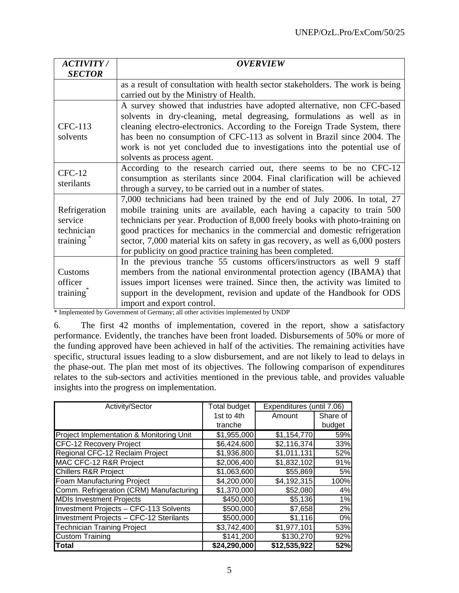| <b>ACTIVITY/</b>      | <b>OVERVIEW</b>                                                                                                |
|-----------------------|----------------------------------------------------------------------------------------------------------------|
| <b>SECTOR</b>         |                                                                                                                |
|                       | as a result of consultation with health sector stakeholders. The work is being                                 |
|                       | carried out by the Ministry of Health.                                                                         |
|                       | A survey showed that industries have adopted alternative, non CFC-based                                        |
|                       | solvents in dry-cleaning, metal degreasing, formulations as well as in                                         |
| CFC-113               | cleaning electro-electronics. According to the Foreign Trade System, there                                     |
| solvents              | has been no consumption of CFC-113 as solvent in Brazil since 2004. The                                        |
|                       | work is not yet concluded due to investigations into the potential use of                                      |
|                       | solvents as process agent.                                                                                     |
| $CFC-12$              | According to the research carried out, there seems to be no CFC-12                                             |
| sterilants            | consumption as sterilants since 2004. Final clarification will be achieved                                     |
|                       | through a survey, to be carried out in a number of states.                                                     |
|                       | 7,000 technicians had been trained by the end of July 2006. In total, 27                                       |
| Refrigeration         | mobile training units are available, each having a capacity to train 500                                       |
| service               | technicians per year. Production of 8,000 freely books with photo-training on                                  |
| technician            | good practices for mechanics in the commercial and domestic refrigeration                                      |
| training              | sector, 7,000 material kits on safety in gas recovery, as well as 6,000 posters                                |
|                       | for publicity on good practice training has been completed.                                                    |
|                       | In the previous tranche 55 customs officers/instructors as well 9 staff                                        |
| Customs               | members from the national environmental protection agency (IBAMA) that                                         |
| officer               | issues import licenses were trained. Since then, the activity was limited to                                   |
| training <sup>®</sup> | support in the development, revision and update of the Handbook for ODS                                        |
|                       | import and export control.<br>* Implemented by Government of Germany, all other estivities implemented by UNDP |

Implemented by Government of Germany; all other activities implemented by UNDP

6. The first 42 months of implementation, covered in the report, show a satisfactory performance. Evidently, the tranches have been front loaded. Disbursements of 50% or more of the funding approved have been achieved in half of the activities. The remaining activities have specific, structural issues leading to a slow disbursement, and are not likely to lead to delays in the phase-out. The plan met most of its objectives. The following comparison of expenditures relates to the sub-sectors and activities mentioned in the previous table, and provides valuable insights into the progress on implementation.

| Activity/Sector                          | <b>Total budget</b> | Expenditures (until 7.06) |          |
|------------------------------------------|---------------------|---------------------------|----------|
|                                          | 1st to 4th          | Amount                    | Share of |
|                                          | tranche             |                           | budget   |
| Project Implementation & Monitoring Unit | \$1,955,000         | \$1,154,770               | 59%      |
| CFC-12 Recovery Project                  | \$6,424,600         | \$2,116,374               | 33%      |
| Regional CFC-12 Reclaim Project          | \$1,936,800         | \$1,011,131               | 52%      |
| MAC CFC-12 R&R Project                   | \$2,006,400         | \$1,832,102               | 91%      |
| <b>Chillers R&amp;R Project</b>          | \$1,063,600         | \$55,869                  | 5%       |
| <b>Foam Manufacturing Project</b>        | \$4,200,000         | \$4,192,315               | 100%     |
| Comm. Refrigeration (CRM) Manufacturing  | \$1,370,000         | \$52,080                  | 4%       |
| <b>MDIs Investment Projects</b>          | \$450,000           | \$5,136                   | 1%       |
| Investment Projects - CFC-113 Solvents   | \$500,000           | \$7,658                   | 2%       |
| Investment Projects - CFC-12 Sterilants  | \$500,000           | \$1,116                   | 0%       |
| <b>Technician Training Project</b>       | \$3,742,400         | \$1,977,101               | 53%      |
| <b>Custom Training</b>                   | \$141,200           | \$130,270                 | 92%      |
| <b>Total</b>                             | \$24,290,000        | \$12,535,922              | 52%      |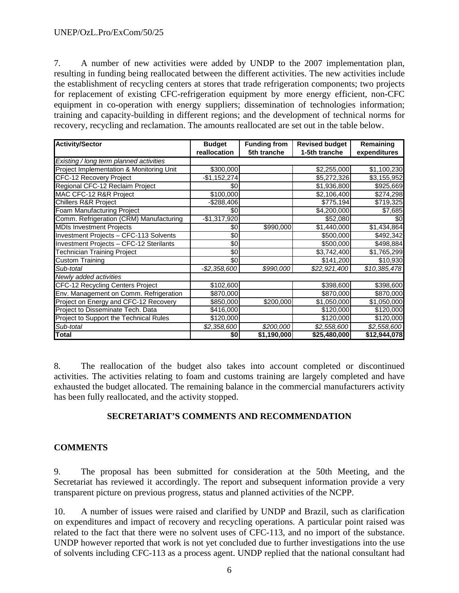7. A number of new activities were added by UNDP to the 2007 implementation plan, resulting in funding being reallocated between the different activities. The new activities include the establishment of recycling centers at stores that trade refrigeration components; two projects for replacement of existing CFC-refrigeration equipment by more energy efficient, non-CFC equipment in co-operation with energy suppliers; dissemination of technologies information; training and capacity-building in different regions; and the development of technical norms for recovery, recycling and reclamation. The amounts reallocated are set out in the table below.

| <b>Activity/Sector</b>                   | <b>Budget</b> | <b>Funding from</b> | <b>Revised budget</b> | Remaining    |
|------------------------------------------|---------------|---------------------|-----------------------|--------------|
|                                          | reallocation  | 5th tranche         | 1-5th tranche         | expenditures |
| Existing / long term planned activities  |               |                     |                       |              |
| Project Implementation & Monitoring Unit | \$300,000     |                     | \$2,255,000           | \$1,100,230  |
| CFC-12 Recovery Project                  | -\$1,152,274  |                     | \$5,272,326           | \$3,155,952  |
| Regional CFC-12 Reclaim Project          | \$0           |                     | \$1,936,800           | \$925,669    |
| MAC CFC-12 R&R Project                   | \$100,000     |                     | \$2,106,400           | \$274,298    |
| <b>Chillers R&amp;R Project</b>          | $-$288,406$   |                     | \$775,194             | \$719,325    |
| Foam Manufacturing Project               | \$0           |                     | \$4,200,000           | \$7,685      |
| Comm. Refrigeration (CRM) Manufacturing  | $-$1,317,920$ |                     | \$52,080              | \$0          |
| <b>MDIs Investment Projects</b>          | \$0           | \$990,000           | \$1,440,000           | \$1,434,864  |
| Investment Projects - CFC-113 Solvents   | \$0           |                     | \$500,000             | \$492,342    |
| Investment Projects - CFC-12 Sterilants  | \$0           |                     | \$500,000             | \$498,884    |
| <b>Technician Training Project</b>       | \$0           |                     | \$3,742,400           | \$1,765,299  |
| <b>Custom Training</b>                   | \$0           |                     | \$141,200             | \$10,930     |
| Sub-total                                | -\$2,358,600  | \$990,000           | \$22,921,400          | \$10,385,478 |
| Newly added activities                   |               |                     |                       |              |
| CFC-12 Recycling Centers Project         | \$102,600     |                     | \$398,600             | \$398,600    |
| Env. Management on Comm. Refrigeration   | \$870,000     |                     | \$870,000             | \$870,000    |
| Project on Energy and CFC-12 Recovery    | \$850,000     | \$200,000           | \$1,050,000           | \$1,050,000  |
| Project to Disseminate Tech. Data        | \$416,000     |                     | \$120,000             | \$120,000    |
| Project to Support the Technical Rules   | \$120,000     |                     | \$120,000             | \$120,000    |
| Sub-total                                | \$2,358,600   | \$200,000           | \$2,558,600           | \$2,558,600  |
| <b>Total</b>                             | \$0           | \$1,190,000         | \$25,480,000          | \$12,944,078 |

8. The reallocation of the budget also takes into account completed or discontinued activities. The activities relating to foam and customs training are largely completed and have exhausted the budget allocated. The remaining balance in the commercial manufacturers activity has been fully reallocated, and the activity stopped.

# **SECRETARIAT'S COMMENTS AND RECOMMENDATION**

# **COMMENTS**

9. The proposal has been submitted for consideration at the 50th Meeting, and the Secretariat has reviewed it accordingly. The report and subsequent information provide a very transparent picture on previous progress, status and planned activities of the NCPP.

10. A number of issues were raised and clarified by UNDP and Brazil, such as clarification on expenditures and impact of recovery and recycling operations. A particular point raised was related to the fact that there were no solvent uses of CFC-113, and no import of the substance. UNDP however reported that work is not yet concluded due to further investigations into the use of solvents including CFC-113 as a process agent. UNDP replied that the national consultant had